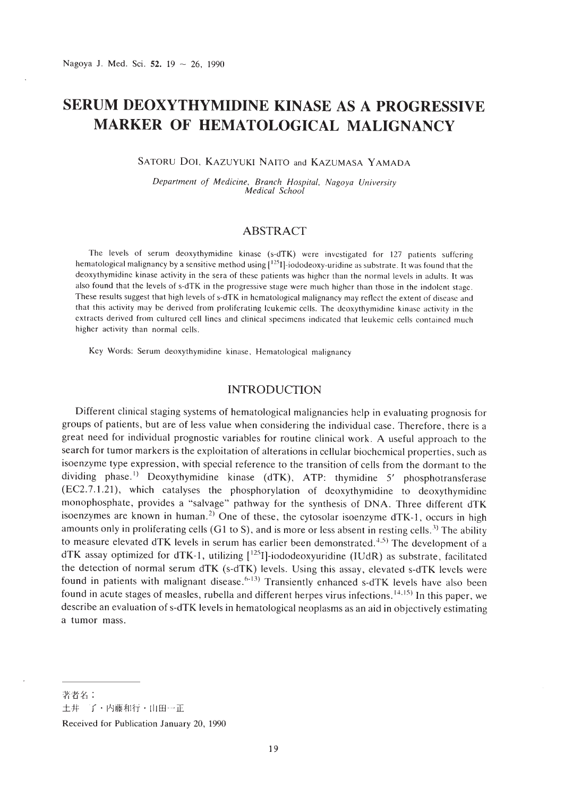# **SERUM DEOXYTHYMIDINE KINASE AS A PROGRESSIVE MARKER OF HEMATOLOGICAL MALIGNANCY**

## SATORU Dol. KAZUYUKI NAITO and KAZUMASA YAMADA

*Deparrmenr of Medicine, Branch Hospiral, Nagoya Universiry Medical School*

## **ABSTRACT**

The levels of serum deoxythymidine kinase (s-dTK) were investigated for 127 patients suffering hematological malignancy by a sensitive method using  $[1^{125}1]$ -iododeoxy-uridine as substrate. It was found that the deoxythymidine kinase activity in the sera of these patients was higher than the normal levels in adults. It was also found that the levels of s-dTK in the progressive stage were much higher than those in the indolent stage. These results suggest that high levels of s-dTK in hematological malignancy may reflect the extent of disease and that this activity may he derived from proliferating leukemic cells. The deoxythymidine kinase activity in the extracts derived from cultured cell lines and clinical specimens indicated that leukemic cells contained much higher activity than normal cells.

Key Words: Serum deoxythymidinc kinase. Hematological malignancy

## **INTRODUCTION**

Different clinical staging systems of hematological malignancies help in evaluating prognosis for groups of patients, but are of less value when considering the individual case. Therefore. there is a great need for individual prognostic variables for routine clinical work. A useful approach to the search for tumor markers is the exploitation of alterations in cellular biochemical properties. such as isoenzyme type expression, with special reference to the transition of cells from the dormant to the dividing phase.<sup>1)</sup> Deoxythymidine kinase (dTK), ATP: thymidine 5' phosphotransferase (EC2. 7.1.21), which catalyses the phosphorylation of deoxythymidine to deoxythymidine monophosphate, provides a "salvage" pathway for the synthesis of DNA. Three different dTK isoenzymes are known in human.<sup>2)</sup> One of these, the cytosolar isoenzyme  $dTK-1$ , occurs in high amounts only in proliferating cells (G1 to S), and is more or less absent in resting cells.<sup>3)</sup> The ability to measure elevated dTK levels in serum has earlier been demonstrated.<sup>4,5)</sup> The development of a  $dTK$  assay optimized for  $dTK-1$ , utilizing  $[1251]$ -iododeoxyuridine (IUdR) as substrate, facilitated the detection of normal serum dTK (s-dTK) levels. Using this assay, elevated s-dTK levels were found in patients with malignant disease.<sup>6-13)</sup> Transiently enhanced s-dTK levels have also been found in acute stages of measles, rubella and different herpes virus infections. <sup>14,15)</sup> In this paper, we describe an evaluation of s-dTK levels in hematological neoplasms as an aid in objectively estimating a tumor mass.

土井 了·内藤和行·山田一正

Received for Publication January 20, 1990

著者名: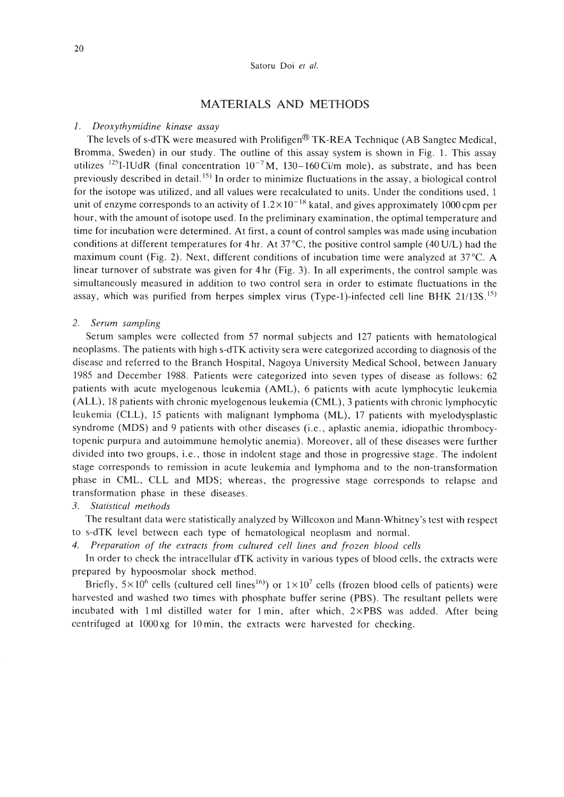## MATERIALS AND METHODS

#### *1. Deoxythymidine kinase assay*

The levels of s-dTK were measured with Prolifigen® TK-REA Technique (AB Sangtec Medical, Bromma, Sweden) in our study. The outline of this assay system is shown in Fig. 1. This assay utilizes <sup>125</sup>I-IUdR (final concentration  $10^{-7}$  M, 130-160 Ci/m mole), as substrate, and has been previously described in detail. 15) **In** order to minimize fluctuations in the assay, a biological control for the isotope was utilized, and all values were recalculated to units. Under the conditions used, 1 unit of enzyme corresponds to an activity of  $1.2 \times 10^{-18}$  katal, and gives approximately 1000 cpm per hour, with the amount of isotope used. **In** the preliminary examination, the optimal temperature and time for incubation were determined. At first, a count of control samples was made using incubation conditions at different temperatures for 4 hr. At 37 °C, the positive control sample (40 U/L) had the maximum count (Fig. 2). Next, different conditions of incubation time were analyzed at 37°C. A linear turnover of substrate was given for 4 hr (Fig. 3). **In** all experiments, the control sample was simultaneously measured in addition to two control sera in order to estimate fluctuations in the assay, which was purified from herpes simplex virus (Type-I)-infected cell line BHK 21/13S. 15)

#### *2. Serum sampling*

Serum samples were collected from 57 normal subjects and 127 patients with hematological neoplasms. The patients with high s-dTK activity sera were categorized according to diagnosis of the disease and referred to the Branch Hospital, Nagoya University Medical School, between January 1985 and December 1988. Patients were categorized into seven types of disease as follows: 62 patients with acute myelogenous leukemia (AML), 6 patients with acute lymphocytic leukemia (ALL), 18 patients with chronic myelogenous leukemia (CML), 3 patients with chronic lymphocytic leukemia (CLL), 15 patients with malignant lymphoma (ML), 17 patients with myelodysplastic syndrome (MDS) and 9 patients with other diseases (i.e., aplastic anemia, idiopathic thrombocytopenic purpura and autoimmune hemolytic anemia). Moreover, all of these diseases were further divided into two groups, i.e., those in indolent stage and those in progressive stage. The indolent stage corresponds to remission in acute leukemia and lymphoma and to the non-transformation phase in CML, CLL and MDS; whereas, the progressive stage corresponds to relapse and transformation phase in these diseases.

#### *3. Statistical methods*

The resultant data were statistically analyzed by Willcoxon and Mann-Whitney's test with respect to s-dTK level between each type of hematological neoplasm and normal.

*4. Preparation of the extracts from cultured cell lines and frozen blood cells*

**In** order to check the intracellular dTK activity in various types of blood cells, the extracts were prepared by hypoosmolar shock method.

Briefly,  $5\times10^6$  cells (cultured cell lines<sup>16)</sup>) or  $1\times10^7$  cells (frozen blood cells of patients) were harvested and washed two times with phosphate buffer serine (PBS). The resultant pellets were incubated with 1ml distilled water for 1 min, after which, 2xPBS was added. After being centrifuged at 1000 xg for 10 min, the extracts were harvested for checking.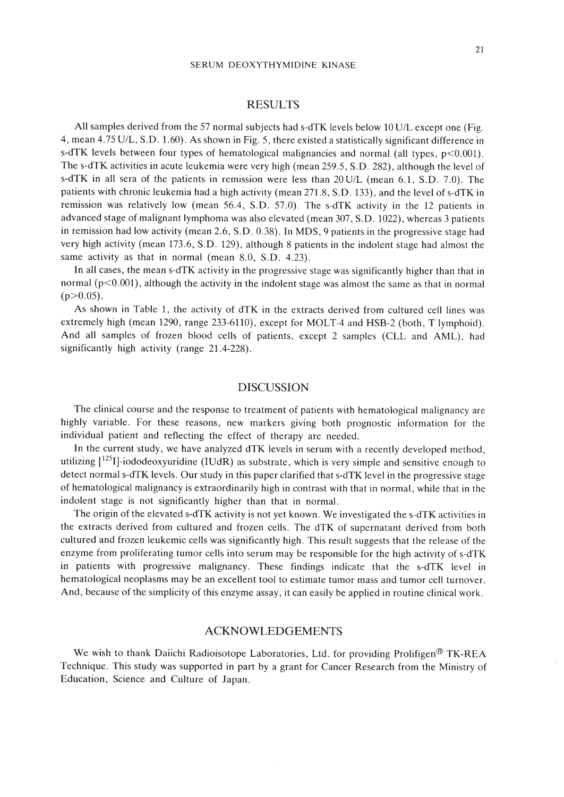#### SERUM DEOXYTHYMIDINE KINASE

## RESULTS

All samples derived from the 57 normal subjects had s-dTK levels below 10 U/L except one (Fig. 4, mean 4.75 U/L, S.D. 1.60). As shown in Fig. 5, there existed a statistically significant difference in s-dTK levels between four types of hematological malignancies and normal (all types,  $p<0.001$ ). The s-dTK activities in acute leukemia were very high (mean 259.5, S.D. 282), although the level of s-dTK in all sera of the patients in remission were less than 20 U/L (mean 6.1, S.D. 7.0). The patients with chronic leukemia had a high activity (mean 271.8, S.D. 133), and the level of s-dTK in remission was relatively low (mean 56.4, S.D. 57.0). The s-dTK activity in the 12 patients in advanced stage of malignant lymphoma was also elevated (mean 307, S. D. 1022), whereas 3 patients in remission had low activity (mean 2.6, S.D. 0.38). In MDS, 9 patients in the progressive stage had very high activity (mean 173.6, S.D. 129), although 8 patients in the indolent stage had almost the same activity as that in normal (mean 8.0, S.D. 4.23).

In all cases, the mean s-dTK activity in the progressive stage was significantly higher than that in normal (p<0.001), although the activity in the indolent stage was almost the same as that in normal  $(p>0.05)$ .

As shown in Table 1, the activity of dTK in the extracts derived from cultured cell lines was extremely high (mean 1290, range 233-6110), except for MOLT-4 and HSB-2 (both, T lymphoid). And all samples of frozen blood cells of patients, except 2 samples (CLL and AML), had significantly high activity (range 21.4-228).

## DISCUSSION

The clinical course and the response to treatment of patients with hematological malignancy are highly variable. For these reasons, new markers giving both prognostic information for the individual patient and reflecting the effect of therapy are needed.

In the current study, we have analyzed dTK levels in serum with a recently developed method, utilizing  $\left[1^{25}I\right]$ -iododeoxyuridine (IUdR) as substrate, which is very simple and sensitive enough to detect normal s-dTK levels. Our study in this paper clarified that s-dTK level in the progressive stage of hematological malignancy is extraordinarily high in contrast with that in normal, while that in the indolent stage is not significantly higher than that in normal.

The origin of the elevated s-dTK activity is not yet known. We investigated the s-dTK activities in the extracts derived from cultured and frozen cells. The dTK of supernatant derived from both cultured and frozen leukemic cells was significantly high. This result suggests that the release of the enzyme from proliferating tumor cells into serum may be responsible for the high activity of s-dTK in patients with progressive malignancy. These findings indicate that the s-dTK level in hematological neoplasms may be an excellent tool to estimate tumor mass and tumor cell turnover. And, because of the simplicity of this enzyme assay, it can easily be applied in routine clinical work.

## ACKNOWLEDGEMENTS

We wish to thank Daiichi Radioisotope Laboratories, Ltd. for providing Prolifigen<sup>®</sup> TK-REA Technique. This study was supported in part by a grant for Cancer Research from the Ministry of Education, Science and Culture of Japan.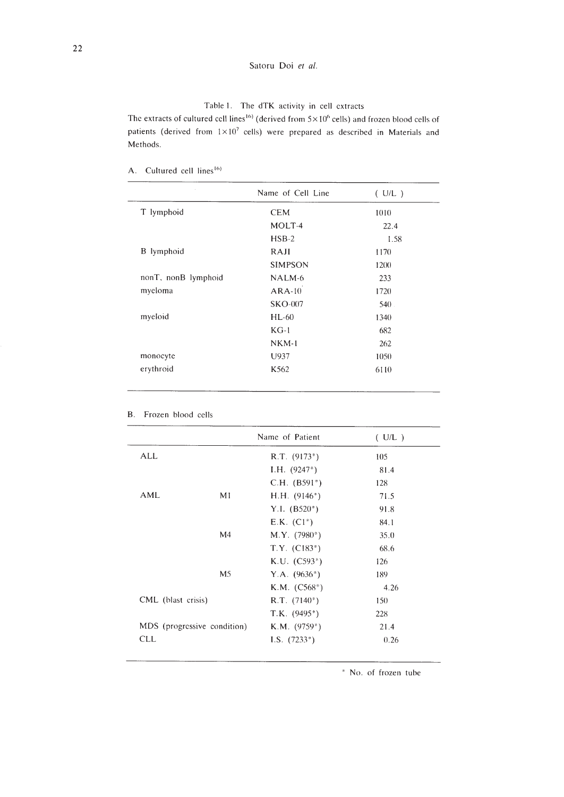## Satoru Doi *et al.*

## Table I. The dTK activity **in** cell extracts

The extracts of cultured cell lines<sup>16)</sup> (derived from  $5 \times 10^6$  cells) and frozen blood cells of patients (derived from  $1 \times 10^7$  cells) were prepared as described in Materials and Methods.

A. Cultured cell lines<sup>16)</sup>

|                     | Name of Cell Line | (U/L) |
|---------------------|-------------------|-------|
| T lymphoid          | <b>CEM</b>        | 1010  |
|                     | MOLT-4            | 22.4  |
|                     | $HSB-2$           | 1.58  |
| B lymphoid          | RAJI              | 1170  |
|                     | <b>SIMPSON</b>    | 1200  |
| nonT, nonB lymphoid | NALM-6            | 233   |
| myeloma             | $ARA-10$          | 1720  |
|                     | $SKO-007$         | 540   |
| myeloid             | $HL-60$           | 1340  |
|                     | $KG-1$            | 682   |
|                     | $NKM-1$           | 262   |
| monocyte            | U937              | 1050  |
| erythroid           | K562              | 6110  |

|                    |                             | Name of Patient             | (U/L) |
|--------------------|-----------------------------|-----------------------------|-------|
| ALL                |                             | $R.T. (9173*)$              | 105   |
|                    |                             | I.H. $(9247^*)$             | 81.4  |
|                    |                             | $C.H.$ (B591 <sup>*</sup> ) | 128   |
| <b>AML</b>         | M1                          | $H.H. (9146*)$              | 71.5  |
|                    |                             | Y.I. $(B520^*)$             | 91.8  |
|                    |                             | $E.K. (Cl^*)$               | 84.1  |
|                    | M <sub>4</sub>              | $M.Y.$ (7980 <sup>*</sup> ) | 35.0  |
|                    |                             | $T.Y. (C183*)$              | 68.6  |
|                    |                             | $K.U. (C593*)$              | 126   |
|                    | M5                          | Y.A. $(9636^*)$             | 189   |
|                    |                             | $K.M. (C568*)$              | 4.26  |
| CML (blast crisis) |                             | $R.T. (7140*)$              | 150   |
|                    |                             | $T.K.$ (9495*)              | 228   |
|                    | MDS (progressive condition) | $K.M.$ (9759*)              | 21.4  |
| <b>CLL</b>         |                             | I.S. $(7233*)$              | 0.26  |

B. Frozen blood cells

, No. of frozen tube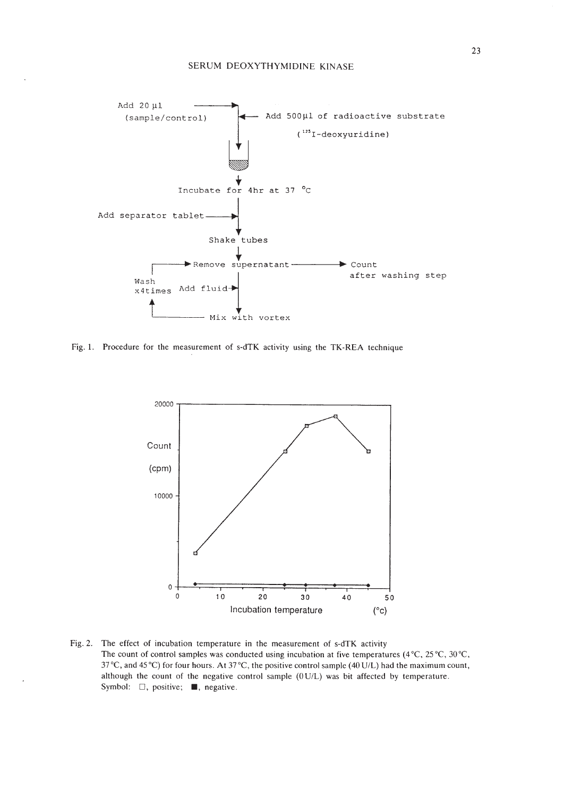

Fig. 1. Procedure for the measurement of s-dTK activity using the TK-REA technique



Fig. 2. The effect of incubation temperature in the measurement of s-dTK activity The count of control samples was conducted using incubation at five temperatures (4 °C, 25 °C, 30 °C, *3re,* and 45°C) for four hours. At *3re,* the positive control sample (40 U/L) had the maximum count, although the count of the negative control sample (0 U/L) was bit affected by temperature. Symbol:  $\square$ , positive; **•.** negative.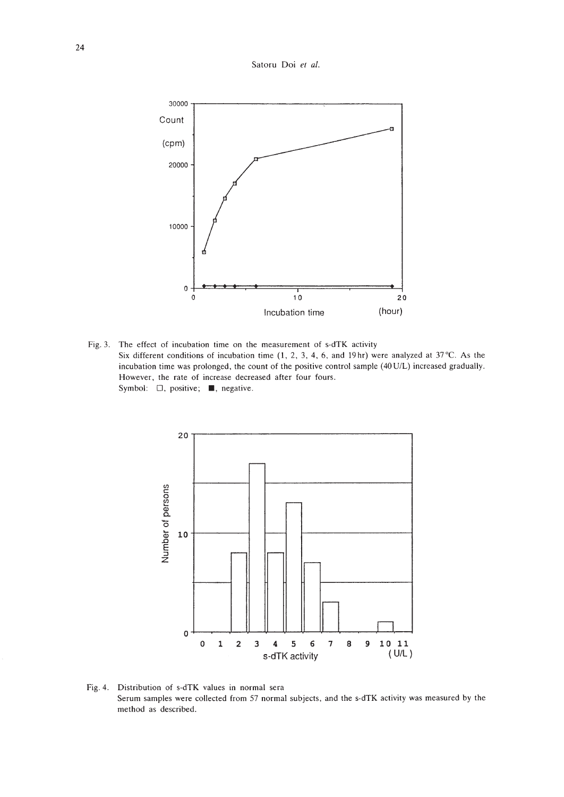Satoru Doi et al.



Fig. 3. The effect of incubation time on the measurement of s-dTK activity Six different conditions of incubation time  $(1, 2, 3, 4, 6,$  and 19hr) were analyzed at 37 °C. As the incubation time was prolonged, the count of the positive control sample (40 U/L) increased gradually. However, the rate of increase decreased after four fours. Symbol:  $\Box$ , positive; , negative.



Fig. 4. Distribution of s-dTK values in normal sera Serum samples were collected from 57 normal subjects, and the s-dTK activity was measured by the method as described.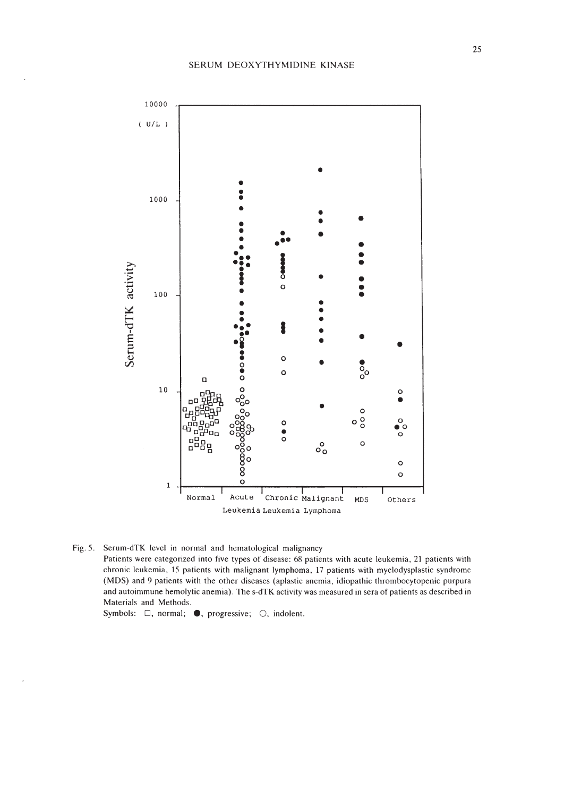

Fig. 5. Serum-dTK level in normal and hematological malignancy Patients were categorized into five types of disease: 68 patients with acute leukemia, 21 patients with chronic leukemia, 15 patients with malignant lymphoma, 17 patients with myelodysplastic syndrome (MDS) and 9 patients with the other diseases (aplastic anemia, idiopathic thrombocytopenic purpura and autoimmune hemolytic anemia). The s-dTK activity was measured in sera of patients as described in Materials and Methods.

Symbols:  $\square$ , normal;  $\bullet$ , progressive;  $\bigcirc$ , indolent.